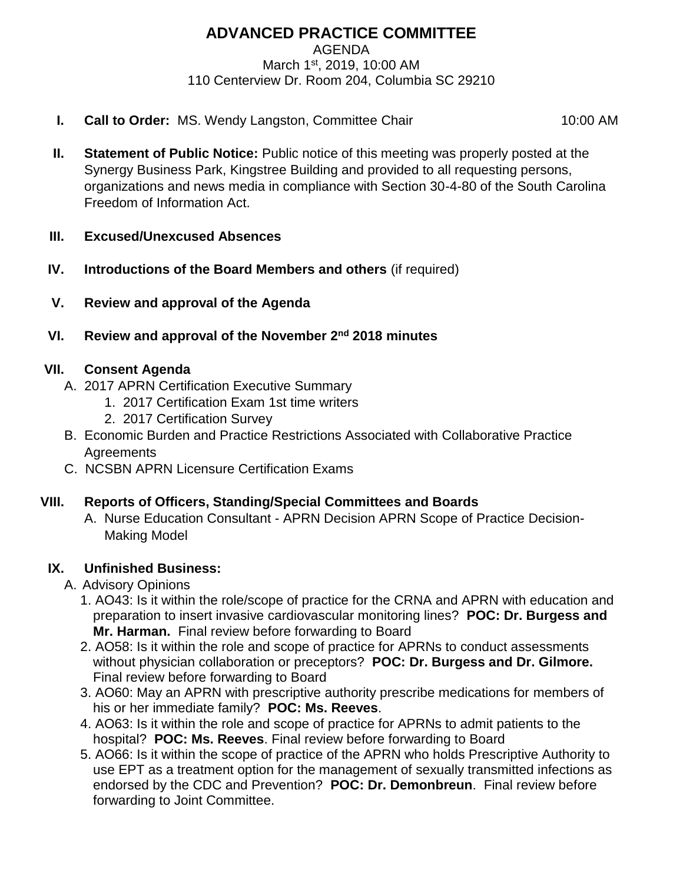# **ADVANCED PRACTICE COMMITTEE**

AGENDA

March 1st, 2019, 10:00 AM 110 Centerview Dr. Room 204, Columbia SC 29210

**I. Call to Order:** MS. Wendy Langston, Committee Chair 10:00 AM

- **II. Statement of Public Notice:** Public notice of this meeting was properly posted at the Synergy Business Park, Kingstree Building and provided to all requesting persons, organizations and news media in compliance with Section 30-4-80 of the South Carolina Freedom of Information Act.
- **III. Excused/Unexcused Absences**
- **IV. Introductions of the Board Members and others** (if required)
- **V. Review and approval of the Agenda**
- **VI. Review and approval of the November 2nd 2018 minutes**

## **VII. Consent Agenda**

- A. 2017 APRN Certification Executive Summary
	- 1. 2017 Certification Exam 1st time writers
	- 2. 2017 Certification Survey
- B. Economic Burden and Practice Restrictions Associated with Collaborative Practice **Agreements**
- C. NCSBN APRN Licensure Certification Exams

### **VIII. Reports of Officers, Standing/Special Committees and Boards**

A. Nurse Education Consultant - APRN Decision APRN Scope of Practice Decision-Making Model

## **IX. Unfinished Business:**

- A. Advisory Opinions
	- 1. AO43: Is it within the role/scope of practice for the CRNA and APRN with education and preparation to insert invasive cardiovascular monitoring lines? **POC: Dr. Burgess and Mr. Harman.** Final review before forwarding to Board
	- 2. AO58: Is it within the role and scope of practice for APRNs to conduct assessments without physician collaboration or preceptors? **POC: Dr. Burgess and Dr. Gilmore.**  Final review before forwarding to Board
	- 3. AO60: May an APRN with prescriptive authority prescribe medications for members of his or her immediate family? **POC: Ms. Reeves**.
	- 4. AO63: Is it within the role and scope of practice for APRNs to admit patients to the hospital? **POC: Ms. Reeves**. Final review before forwarding to Board
	- 5. AO66: Is it within the scope of practice of the APRN who holds Prescriptive Authority to use EPT as a treatment option for the management of sexually transmitted infections as endorsed by the CDC and Prevention? **POC: Dr. Demonbreun**. Final review before forwarding to Joint Committee.